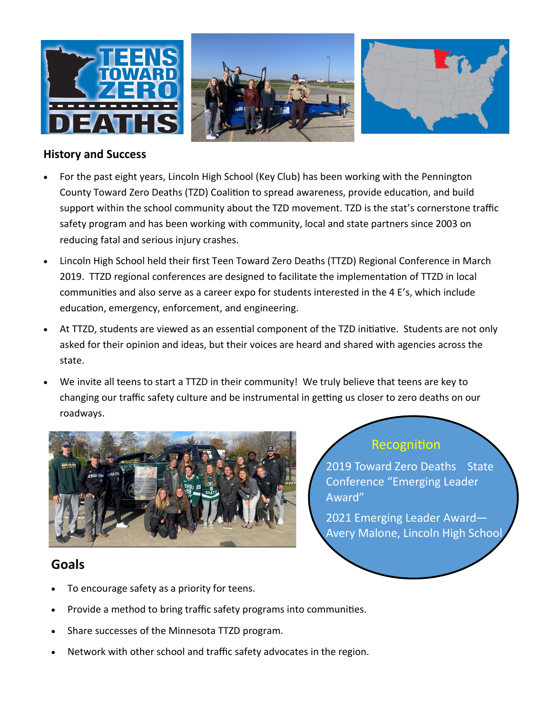

#### **History and Success**

- For the past eight years, Lincoln High School (Key Club) has been working with the Pennington County Toward Zero Deaths (TZD) Coalition to spread awareness, provide education, and build support within the school community about the TZD movement. TZD is the stat's cornerstone traffic safety program and has been working with community, local and state partners since 2003 on reducing fatal and serious injury crashes.
- Lincoln High School held their first Teen Toward Zero Deaths (TTZD) Regional Conference in March 2019. TTZD regional conferences are designed to facilitate the implementation of TTZD in local communities and also serve as a career expo for students interested in the 4 E's, which include education, emergency, enforcement, and engineering.
- At TTZD, students are viewed as an essential component of the TZD initiative. Students are not only asked for their opinion and ideas, but their voices are heard and shared with agencies across the state.
- We invite all teens to start a TTZD in their community! We truly believe that teens are key to changing our traffic safety culture and be instrumental in getting us closer to zero deaths on our roadways.



## **Goals**

- To encourage safety as a priority for teens.
- Provide a method to bring traffic safety programs into communities.
- Share successes of the Minnesota TTZD program.
- Network with other school and traffic safety advocates in the region.

## Recognition

2019 Toward Zero Deaths State Conference "Emerging Leader Award"

2021 Emerging Leader Award— Avery Malone, Lincoln High School